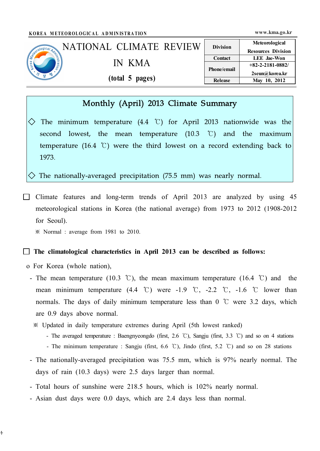|                                            | KOREA METEOROLOGICAL ADMINISTRATION |                        | www.kma.go.kr                               |
|--------------------------------------------|-------------------------------------|------------------------|---------------------------------------------|
|                                            | NATIONAL CLIMATE REVIEW             | <b>Division</b>        | Meteorological<br><b>Resources Division</b> |
| Secondo Dical Advise<br>$\frac{1}{2}$<br>格 | IN KMA                              | Contact<br>Phone/email | <b>LEE</b> Jae-Won<br>$+82-2-2181-0882/$    |
|                                            | (total 5 pages)                     | Release                | 2seun@korea.kr<br>May 10, 2012              |

# Monthly (April) 2013 Climate Summary

 $\Diamond$  The minimum temperature (4.4 °C) for April 2013 nationwide was the second lowest, the mean temperature  $(10.3 \text{ } ^\circ\text{C})$  and the maximum temperature (16.4 ℃) were the third lowest on a record extending back to 1973.

 $\Diamond$  The nationally-averaged precipitation (75.5 mm) was nearly normal.

 $\Box$  Climate features and long-term trends of April 2013 are analyzed by using 45 meteorological stations in Korea (the national average) from 1973 to 2012 (1908-2012 for Seoul).

※ Normal : average from 1981 to 2010.

#### $\Box$  The climatological characteristics in April 2013 can be described as follows:

o For Korea (whole nation),

 $\ddagger$ 

- The mean temperature (10.3 °C), the mean maximum temperature (16.4 °C) and the mean minimum temperature  $(4.4 \text{ }^{\circ}\text{C})$  were -1.9  $\text{ }^{\circ}\text{C}$ , -2.2  $\text{ }^{\circ}\text{C}$ , -1.6  $\text{ }^{\circ}\text{C}$  lower than normals. The days of daily minimum temperature less than  $0^{\circ}$  were 3.2 days, which are 0.9 days above normal.
	- ※ Updated in daily temperature extremes during April (5th lowest ranked)
		- The averaged temperature : Baengnyeongdo (first, 2.6 ℃), Sangju (first, 3.3 ℃) and so on 4 stations
		- The minimum temperature : Sangju (first, 6.6 ℃), Jindo (first, 5.2 ℃) and so on 28 stations
- The nationally-averaged precipitation was 75.5 mm, which is 97% nearly normal. The days of rain (10.3 days) were 2.5 days larger than normal.
- Total hours of sunshine were 218.5 hours, which is 102% nearly normal.
- Asian dust days were 0.0 days, which are 2.4 days less than normal.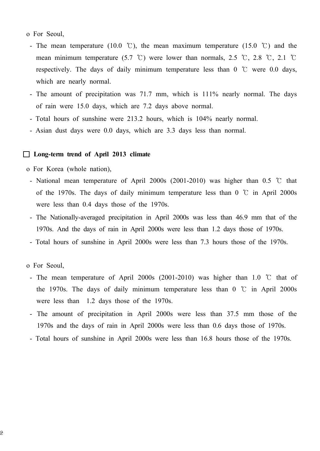- o For Seoul,
	- The mean temperature (10.0 °C), the mean maximum temperature (15.0 °C) and the mean minimum temperature (5.7 °C) were lower than normals, 2.5 °C, 2.8 °C, 2.1 °C respectively. The days of daily minimum temperature less than  $0^{\circ}$  were 0.0 days, which are nearly normal.
	- The amount of precipitation was 71.7 mm, which is 111% nearly normal. The days of rain were 15.0 days, which are 7.2 days above normal.
- Total hours of sunshine were 213.2 hours, which is 104% nearly normal.
- Asian dust days were 0.0 days, which are 3.3 days less than normal.

### □ Long-term trend of April 2013 climate

o For Korea (whole nation),

- National mean temperature of April 2000s (2001-2010) was higher than 0.5 ℃ that of the 1970s. The days of daily minimum temperature less than  $0\degree\text{C}$  in April 2000s were less than 0.4 days those of the 1970s.
- The Nationally-averaged precipitation in April 2000s was less than 46.9 mm that of the 1970s. And the days of rain in April 2000s were less than 1.2 days those of 1970s.
- Total hours of sunshine in April 2000s were less than 7.3 hours those of the 1970s.
- o For Seoul,
- The mean temperature of April 2000s (2001-2010) was higher than 1.0 ℃ that of the 1970s. The days of daily minimum temperature less than  $0\degree$  in April 2000s were less than 1.2 days those of the 1970s.
- The amount of precipitation in April 2000s were less than 37.5 mm those of the 1970s and the days of rain in April 2000s were less than 0.6 days those of 1970s.
- Total hours of sunshine in April 2000s were less than 16.8 hours those of the 1970s.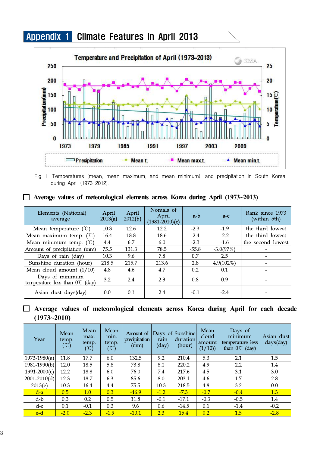# Appendix 1 Climate Features in April 2013



Fig 1. Temperatures (mean, mean maximum, and mean minimum), and precipitation in South Korea during April (1973-2012).

|  |  | $\Box$ Average values of meteorological elements across Korea during April (1973~2013) |  |  |  |  |
|--|--|----------------------------------------------------------------------------------------|--|--|--|--|
|  |  |                                                                                        |  |  |  |  |

| Elements (National)<br>average                               | April<br>2013(a) | April<br>2012(b) | Nomals of<br>April<br>$(1981 - 2010)$ (c) | a-b     | $a-c$        | Rank since 1973<br>(within 5th) |
|--------------------------------------------------------------|------------------|------------------|-------------------------------------------|---------|--------------|---------------------------------|
| (°C)<br>Mean temperature                                     | 10.3             | 12.6             | 12.2                                      | $-2.3$  | $-1.9$       | the third lowest                |
| $^{\prime}$ $^{\prime}$ $\Gamma$ )<br>Mean maximum temp.     | 16.4             | 18.8             | 18.6                                      | $-2.4$  | $-2.2$       | the third lowest                |
| Mean minimum temp.                                           | 4.4              | 6.7              | 6.0                                       | $-2.3$  | $-1.6$       | the second lowest               |
| Amount of precipitation (mm)                                 | 75.5             | 131.3            | 78.5                                      | $-55.8$ | $-3.0(97%)$  | $\overline{\phantom{a}}$        |
| Days of rain (day)                                           | 10.3             | 9.6              | 7.8                                       | 0.7     | 2.5          |                                 |
| Sunshine duration (hour)                                     | 218.5            | 215.7            | 213.6                                     | 2.8     | $4.9(102\%)$ |                                 |
| Mean cloud amount $(1/10)$                                   | 4.8              | 4.6              | 4.7                                       | 0.2     | 0.1          | $\overline{\phantom{a}}$        |
| Days of minimum<br>temperature less than $0^{\circ}$ C (day) | 3.2              | 2.4              | 2.3                                       | 0.8     | 0.9          |                                 |
| Asian dust days(day)                                         | 0.0              | 0.1              | 2.4                                       | $-0.1$  | $-2.4$       |                                 |

## □ Average values of meteorological elements across Korea during April for each decade (1973~2010)

| Year             | Mean<br>temp.<br>$(\degree C)$ | Mean<br>max.<br>temp.<br>$^{\circ}\mathbb{C})$ | Mean<br>min.<br>temp.<br>(°C) | Amount of<br>precipitation<br>(mm) | rain<br>$\frac{day}{ }$ | Days of Sunshine<br>duration<br>(hour) | Mean<br>cloud<br>amount<br>(1/10) | Days of<br>minimum<br>temperature less<br>than $0^{\circ}$ (day) | Asian dust<br>days(day) |
|------------------|--------------------------------|------------------------------------------------|-------------------------------|------------------------------------|-------------------------|----------------------------------------|-----------------------------------|------------------------------------------------------------------|-------------------------|
| $1973 - 1980(a)$ | 11.8                           | 17.7                                           | 6.0                           | 132.5                              | 9.2                     | 210.4                                  | 5.3                               | 2.1                                                              | 1.5                     |
| $1981 - 1990(b)$ | 12.0                           | 18.5                                           | 5.8                           | 73.8                               | 8.1                     | 220.2                                  | 4.9                               | 2.2                                                              | 1.4                     |
| $1991 - 2000(c)$ | 12.2                           | 18.8                                           | 6.0                           | 76.0                               | 7.4                     | 217.6                                  | 4.5                               | 3.1                                                              | 3.0                     |
| $2001 - 2010(d)$ | 12.3                           | 18.7                                           | 6.3                           | 85.6                               | 8.0                     | 203.1                                  | 4.6                               | 1.7                                                              | 2.8                     |
| 2013(e)          | 10.3                           | 16.4                                           | 4.4                           | 75.5                               | 10.3                    | 218.5                                  | 4.8                               | 3.2                                                              | 0.0                     |
| $d-a$            | 0.5                            | 1.0                                            | 0.3                           | $-46.9$                            | $-1.2$                  | $-7.3$                                 | $-0.7$                            | $-0.4$                                                           | 1.3                     |
| $d-b$            | 0.3                            | 0.2                                            | 0.5                           | 11.8                               | $-0.1$                  | $-17.1$                                | $-0.3$                            | $-0.5$                                                           | 1.4                     |
| $d-c$            | 0.1                            | $-0.1$                                         | 0.3                           | 9.6                                | 0.6                     | $-14.5$                                | 0.1                               | $-1.4$                                                           | $-0.2$                  |
| e-d              | $-2.0$                         | $-2.3$                                         | $-1.9$                        | $-10.1$                            | 2.3                     | 15.4                                   | 0.2                               | 1.5                                                              | $-2.8$                  |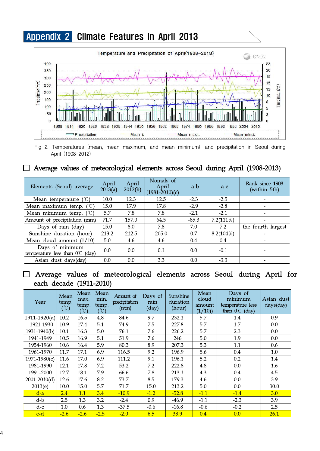

Fig 2. Temperatures (mean, mean maximum, and mean minimum), and precipitation in Seoul during April (1908-2012)

### □ Average values of meteorological elements across Seoul during April (1908-2013)

| Elements (Seoul) average                                   | April<br>2013(a) | April<br>2012(b) | Nomals of<br>April<br>$(1981 - 2010)(c)$ | a-b     | $a-c$        | Rank since 1908<br>(within 5th) |
|------------------------------------------------------------|------------------|------------------|------------------------------------------|---------|--------------|---------------------------------|
| Mean temperature $(\mathcal{C})$                           | 10.0             | 12.3             | 12.5                                     | $-2.3$  | $-2.5$       |                                 |
| Mean maximum temp. $({}^{\circ}\mathbb{C})$                | 15.0             | 17.9             | 17.8                                     | $-2.9$  | $-2.8$       |                                 |
| Mean minimum temp. $({\mathcal{C}})$                       | 5.7              | 7.8              | 7.8                                      | $-2.1$  | $-2.1$       | $\overline{\phantom{a}}$        |
| Amount of precipitation (mm)                               | 71.7             | 157.0            | 64.5                                     | $-85.3$ | $7.2(111\%)$ |                                 |
| Days of rain (day)                                         | 15.0             | 8.0              | 7.8                                      | 7.0     | 7.2          | the fourth largest              |
| Sunshine duration (hour)                                   | 213.2            | 212.5            | 205.0                                    | 0.7     | $8.2(104\%)$ |                                 |
| Mean cloud amount $(1/10)$                                 | 5.0              | 4.6              | 4.6                                      | 0.4     | 0.4          |                                 |
| Days of minimum<br>temperature less than $0^{\circ}$ (day) | 0.0              | 0.0              | 0.1                                      | 0.0     | $-0.1$       |                                 |
| Asian dust days(day)                                       | 0.0              | 0.0              | 3.3                                      | 0.0     | $-3.3$       |                                 |

□ Average values of meteorological elements across Seoul during April for each decade (1911-2010)

| Year             | Mean<br>temp.<br>(°C) | Mean<br>max.<br>temp.<br>$\mathcal{C}$ | Mean<br>min.<br>temp.<br>$\mathcal{C}$ | Amount of<br>precipitation<br>(mm) | Days of<br>rain<br>$\frac{day}{ }$ | Sunshine<br>duration<br>(hour) | Mean<br>cloud<br>amount<br>(1/10) | Days of<br>minimum<br>temperature less<br>than $0^{\circ}$ (day) | Asian dust<br>days(day) |
|------------------|-----------------------|----------------------------------------|----------------------------------------|------------------------------------|------------------------------------|--------------------------------|-----------------------------------|------------------------------------------------------------------|-------------------------|
| $1911 - 1920(a)$ | 10.2                  | 16.5                                   | 4.8                                    | 84.6                               | 9.7                                | 232.1                          | 5.7                               | 1.4                                                              | 0.9                     |
| 1921-1930        | 10.9                  | 17.4                                   | 5.1                                    | 74.9                               | 7.5                                | 227.8                          | 5.7                               | 1.7                                                              | 0.0                     |
| 1931-1940(b)     | 10.1                  | 16.3                                   | 5.0                                    | 76.1                               | 7.6                                | 226.2                          | 5.7                               | 2.3                                                              | 0.0                     |
| 1941-1949        | 10.5                  | 16.9                                   | 5.1                                    | 51.9                               | 7.6                                | 246                            | 5.0                               | 1.9                                                              | 0.0                     |
| 1954-1960        | 10.6                  | 16.4                                   | 5.9                                    | 80.3                               | 8.9                                | 207.3                          | 5.3                               | 1.1                                                              | 0.6                     |
| 1961-1970        | 11.7                  | 17.1                                   | 6.9                                    | 116.5                              | 9.2                                | 196.9                          | 5.6                               | 0.4                                                              | 1.0                     |
| $1971 - 1980(c)$ | 11.6                  | 17.0                                   | 6.9                                    | 111.2                              | 9.1                                | 196.1                          | 5.2                               | 0.2                                                              | 1.4                     |
| 1981-1990        | 12.1                  | 17.8                                   | 7.2                                    | 53.2                               | 7.2                                | 222.8                          | 4.8                               | 0.0                                                              | 1.6                     |
| 1991-2000        | 12.7                  | 18.1                                   | 7.9                                    | 66.6                               | 7.8                                | 213.1                          | 4.3                               | 0.4                                                              | 4.5                     |
| $2001 - 2010(d)$ | 12.6                  | 17.6                                   | 8.2                                    | 73.7                               | 8.5                                | 179.3                          | 4.6                               | 0.0                                                              | 3.9                     |
| 2013(e)          | 10.0                  | 15.0                                   | 5.7                                    | 71.7                               | 15.0                               | 213.2                          | 5.0                               | 0.0                                                              | 30.0                    |
| $d-a$            | 2.4                   | 1.1                                    | 3.4                                    | $-10.9$                            | $-1.2$                             | $-52.8$                        | $-1.1$                            | $-1.4$                                                           | 3.0                     |
| d-b              | 2.5                   | 1.3                                    | 3.2                                    | $-2.4$                             | 0.9                                | $-46.9$                        | $-1.1$                            | $-2.3$                                                           | 3.9                     |
| $d-c$            | 1.0                   | 0.6                                    | 1.3                                    | $-37.5$                            | $-0.6$                             | $-16.8$                        | $-0.6$                            | $-0.2$                                                           | 2.5                     |
| $e-d$            | $-2.6$                | $-2.6$                                 | $-2.5$                                 | $-2.0$                             | 6.5                                | 33.9                           | 0.4                               | 0.0                                                              | 26.1                    |